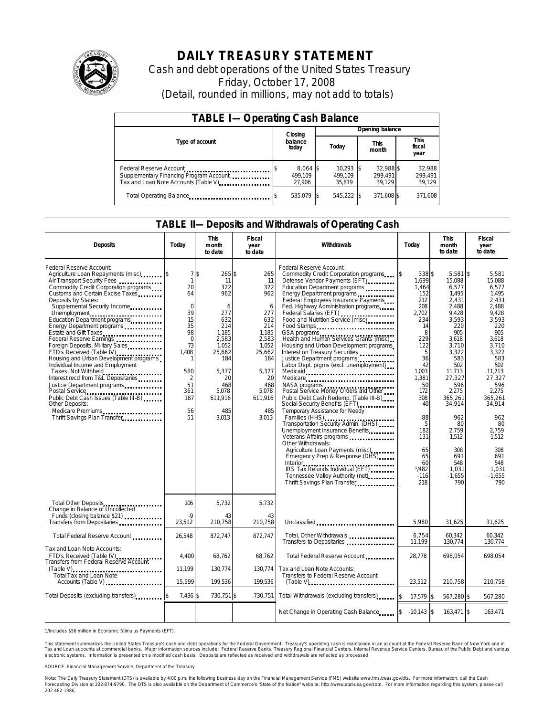

# **DAILY TREASURY STATEMENT**

Cash and debt operations of the United States Treasury Friday, October 17, 2008 (Detail, rounded in millions, may not add to totals)

| <b>TABLE I-Operating Cash Balance</b>                                                                      |                                 |                                  |                                |                               |  |  |  |
|------------------------------------------------------------------------------------------------------------|---------------------------------|----------------------------------|--------------------------------|-------------------------------|--|--|--|
|                                                                                                            | Closing                         | Opening balance                  |                                |                               |  |  |  |
| Type of account                                                                                            | balance<br>today                | Today                            | This<br>month                  | <b>This</b><br>fiscal<br>year |  |  |  |
| Federal Reserve Account<br>Supplementary Financing Program Account<br>Tax and Loan Note Accounts (Table V) | $8,064$ \$<br>499.109<br>27.906 | $10.293$ \$<br>499.109<br>35.819 | 32,988 \$<br>299.491<br>39.129 | 32,988<br>299,491<br>39,129   |  |  |  |
|                                                                                                            | 535,079 \$                      | 545,222 \$                       | 371,608 \$                     | 371,608                       |  |  |  |

#### **TABLE II—Deposits and Withdrawals of Operating Cash**

| <b>Deposits</b>                                                                                                                                                                                                                                                                                                                                                                                                                                                                                                                                                                                                                                                                                                                                 | Todav                                                                                                                                     | <b>This</b><br>month<br>to date                                                                                                                           | Fiscal<br>year<br>to date                                                                                                                               | Withdrawals                                                                                                                                                                                                                                                                                                                                                                                                                                                                                                                                                                                                                                                                                                                                                                                                                                                                                                                                                                                                                                 | Todav                                                                                                                                                                                                                    | <b>This</b><br>month<br>to date                                                                                                                                                                                                                                             | Fiscal<br>year<br>to date                                                                                                                                                                                                                                             |
|-------------------------------------------------------------------------------------------------------------------------------------------------------------------------------------------------------------------------------------------------------------------------------------------------------------------------------------------------------------------------------------------------------------------------------------------------------------------------------------------------------------------------------------------------------------------------------------------------------------------------------------------------------------------------------------------------------------------------------------------------|-------------------------------------------------------------------------------------------------------------------------------------------|-----------------------------------------------------------------------------------------------------------------------------------------------------------|---------------------------------------------------------------------------------------------------------------------------------------------------------|---------------------------------------------------------------------------------------------------------------------------------------------------------------------------------------------------------------------------------------------------------------------------------------------------------------------------------------------------------------------------------------------------------------------------------------------------------------------------------------------------------------------------------------------------------------------------------------------------------------------------------------------------------------------------------------------------------------------------------------------------------------------------------------------------------------------------------------------------------------------------------------------------------------------------------------------------------------------------------------------------------------------------------------------|--------------------------------------------------------------------------------------------------------------------------------------------------------------------------------------------------------------------------|-----------------------------------------------------------------------------------------------------------------------------------------------------------------------------------------------------------------------------------------------------------------------------|-----------------------------------------------------------------------------------------------------------------------------------------------------------------------------------------------------------------------------------------------------------------------|
| Federal Reserve Account:<br>Agriculture Loan Repayments (misc)<br>Air Transport Security Fees<br>Commodity Credit Corporation programs<br>Customs and Certain Excise Taxes<br>Deposits by States:<br>Supplemental Security Income<br>Unemployment<br>Education Department programs<br>Estate and Gift Taxes<br>Federal Reserve Earnings<br>Foreign Deposits, Military Sales<br>FTD's Received (Table IV)<br>Housing and Urban Development programs<br>Individual Income and Employment<br>Taxes, Not Withheld<br>Interest recd from T&L Depositaries<br>Justice Department programs<br>Postal Service<br>Public Debt Cash Issues (Table III-B)<br>Other Deposits:<br>Medicare Premiums<br><u>Lessen results</u><br>Thrift Savings Plan Transfer | 7s<br>$\mathbf{1}$<br>20<br>64<br>$\Omega$<br>39<br>15<br>35<br>98<br>$\Omega$<br>73<br>1,408<br>580<br>2<br>51<br>361<br>187<br>56<br>51 | 265\$<br>11<br>322<br>962<br>6<br>277<br>632<br>214<br>1,185<br>2.583<br>1.052<br>25,662<br>184<br>5,377<br>20<br>468<br>5.078<br>611.916<br>485<br>3.013 | 265<br>11<br>322<br>962<br>6<br>277<br>632<br>214<br>1.185<br>2,583<br>1,052<br>25,662<br>184<br>5,377<br>20<br>468<br>5.078<br>611.916<br>485<br>3.013 | Federal Reserve Account:<br>Commodity Credit Corporation programs<br>Defense Vendor Payments (EFT)<br>Education Department programs<br>Energy Department programs<br>Federal Employees Insurance Payments<br>Fed. Highway Administration programs<br>Federal Salaries (EFT)<br>Food and Nutrition Service (misc)<br>Food Stamps<br>GSA programs<br>Health and Human Services Grants (misc)<br>Housing and Urban Development programs<br>Interest on Treasury Securities<br>Justice Department programs<br>Labor Dept. prgms (excl. unemployment)<br>Medicaid<br>Medicare<br>NASA programs<br>Postal Service Money Orders and Other<br>Public Debt Cash Redemp. (Table III-B)<br>Social Security Benefits (EFT)<br>Temporary Assistance for Needy<br>Families (HHS)<br>Transportation Security Admin. (DHS)<br>Unemployment Insurance Benefits<br>Veterans Affairs programs<br>Other Withdrawals:<br>Agriculture Loan Payments (misc)<br>Emergency Prep & Response (DHS)<br>Tennessee Valley Authority (net)<br>Thrift Savings Plan Transfer | 338 \$<br>1.699<br>1.464<br>152<br>212<br>208<br>2.702<br>234<br>14<br>8<br>229<br>122<br>5<br>36<br>42<br>1,003<br>1,381<br>50<br>172<br>308<br>40<br>88<br>5<br>182<br>131<br>65<br>65<br>60<br>1/482<br>$-116$<br>218 | $5.581$ \\$<br>15.088<br>6.577<br>1,495<br>2,431<br>2,488<br>9,428<br>3,593<br>220<br>905<br>3.618<br>3,710<br>3,322<br>583<br>502<br>11,713<br>27,327<br>596<br>2.275<br>365.261<br>34,914<br>962<br>80<br>2,759<br>1,512<br>308<br>691<br>548<br>1,031<br>$-1.655$<br>790 | 5.581<br>15.088<br>6.577<br>1.495<br>2.431<br>2.488<br>9.428<br>3,593<br>220<br>905<br>3.618<br>3.710<br>3,322<br>583<br>502<br>11,713<br>27.327<br>596<br>2.275<br>365.261<br>34,914<br>962<br>80<br>2.759<br>1,512<br>308<br>691<br>548<br>1.031<br>$-1.655$<br>790 |
| Total Other Deposits<br>Change in Balance of Uncollected                                                                                                                                                                                                                                                                                                                                                                                                                                                                                                                                                                                                                                                                                        | 106<br>$\overline{Q}$                                                                                                                     | 5,732                                                                                                                                                     | 5,732                                                                                                                                                   |                                                                                                                                                                                                                                                                                                                                                                                                                                                                                                                                                                                                                                                                                                                                                                                                                                                                                                                                                                                                                                             |                                                                                                                                                                                                                          |                                                                                                                                                                                                                                                                             |                                                                                                                                                                                                                                                                       |
| Funds (closing balance \$21)<br>Transfers from Depositaries                                                                                                                                                                                                                                                                                                                                                                                                                                                                                                                                                                                                                                                                                     | 23,512                                                                                                                                    | 43<br>210,758                                                                                                                                             | 43<br>210,758                                                                                                                                           | Unclassified                                                                                                                                                                                                                                                                                                                                                                                                                                                                                                                                                                                                                                                                                                                                                                                                                                                                                                                                                                                                                                | 5,980                                                                                                                                                                                                                    | 31,625                                                                                                                                                                                                                                                                      | 31,625                                                                                                                                                                                                                                                                |
| Total Federal Reserve Account                                                                                                                                                                                                                                                                                                                                                                                                                                                                                                                                                                                                                                                                                                                   | 26,548                                                                                                                                    | 872,747                                                                                                                                                   | 872.747                                                                                                                                                 | Total, Other Withdrawals<br>Transfers to Depositaries <b>container</b>                                                                                                                                                                                                                                                                                                                                                                                                                                                                                                                                                                                                                                                                                                                                                                                                                                                                                                                                                                      | 6,754<br>11,199                                                                                                                                                                                                          | 60,342<br>130,774                                                                                                                                                                                                                                                           | 60,342<br>130,774                                                                                                                                                                                                                                                     |
| Tax and Loan Note Accounts:<br>FTD's Received (Table IV)<br>Transfers from Federal Reserve Account                                                                                                                                                                                                                                                                                                                                                                                                                                                                                                                                                                                                                                              | 4,400                                                                                                                                     | 68,762                                                                                                                                                    | 68,762                                                                                                                                                  | Total Federal Reserve Account                                                                                                                                                                                                                                                                                                                                                                                                                                                                                                                                                                                                                                                                                                                                                                                                                                                                                                                                                                                                               | 28,778                                                                                                                                                                                                                   | 698,054                                                                                                                                                                                                                                                                     | 698,054                                                                                                                                                                                                                                                               |
| $(Table V)$<br>Total Tax and Loan Note<br>Accounts (Table V) <b>contains an example V</b> ) <b>Accounts</b> (Table V)                                                                                                                                                                                                                                                                                                                                                                                                                                                                                                                                                                                                                           | 11.199<br>15,599                                                                                                                          | 130.774<br>199,536                                                                                                                                        | 130.774<br>199,536                                                                                                                                      | Tax and Loan Note Accounts:<br>Transfers to Federal Reserve Account                                                                                                                                                                                                                                                                                                                                                                                                                                                                                                                                                                                                                                                                                                                                                                                                                                                                                                                                                                         | 23,512                                                                                                                                                                                                                   | 210,758                                                                                                                                                                                                                                                                     | 210,758                                                                                                                                                                                                                                                               |
| Total Deposits (excluding transfers)                                                                                                                                                                                                                                                                                                                                                                                                                                                                                                                                                                                                                                                                                                            | 7,436 \$                                                                                                                                  | 730,751 \$                                                                                                                                                | 730,751                                                                                                                                                 | Total Withdrawals (excluding transfers)                                                                                                                                                                                                                                                                                                                                                                                                                                                                                                                                                                                                                                                                                                                                                                                                                                                                                                                                                                                                     | 17,579 \$                                                                                                                                                                                                                | 567,280 \$                                                                                                                                                                                                                                                                  | 567,280                                                                                                                                                                                                                                                               |
|                                                                                                                                                                                                                                                                                                                                                                                                                                                                                                                                                                                                                                                                                                                                                 |                                                                                                                                           |                                                                                                                                                           |                                                                                                                                                         | Net Change in Operating Cash Balance 5                                                                                                                                                                                                                                                                                                                                                                                                                                                                                                                                                                                                                                                                                                                                                                                                                                                                                                                                                                                                      | $-10.143$ S                                                                                                                                                                                                              | 163,471 \$                                                                                                                                                                                                                                                                  | 163,471                                                                                                                                                                                                                                                               |

1/Includes \$56 million in Economic Stimulus Payments (EFT).

This statement summarizes the United States Treasury's cash and debt operations for the Federal Government. Treasury's operating cash is maintained in an account at the Federal Reserve Bank of New York and in<br>Tax and Loan electronic systems. Information is presented on a modified cash basis. Deposits are reflected as received and withdrawals are reflected as processed.

SOURCE: Financial Management Service, Department of the Treasury

Note: The Daily Treasury Statement (DTS) is available by 4:00 p.m. the following business day on the Financial Management Service (FMS) website www.fms.treas.gov/dts. For more information, call the Cash Forecasting Division at 202-874-9790. The DTS is also available on the Department of Commerce's "State of the Nation" website: http://www.stat-usa.gov/sotn. For more information regarding this system, please call<br>202-482-1